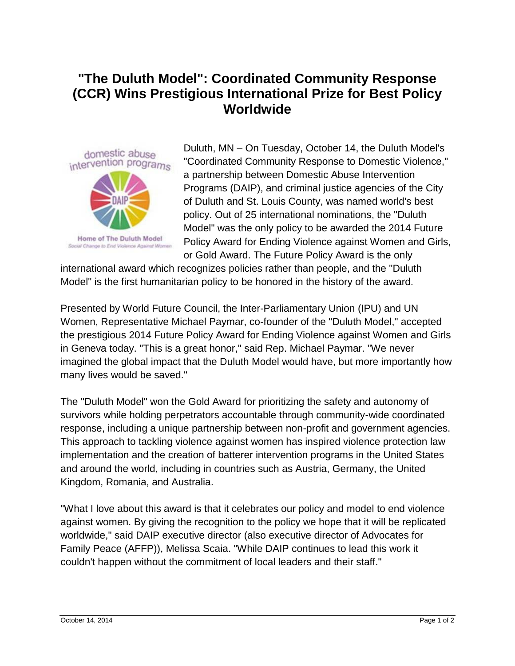## **"The Duluth Model": Coordinated Community Response (CCR) Wins Prestigious International Prize for Best Policy Worldwide**



Duluth, MN – On Tuesday, October 14, the Duluth Model's "Coordinated Community Response to Domestic Violence," a partnership between Domestic Abuse Intervention Programs (DAIP), and criminal justice agencies of the City of Duluth and St. Louis County, was named world's best policy. Out of 25 international nominations, the "Duluth Model" was the only policy to be awarded the 2014 Future Policy Award for Ending Violence against Women and Girls, or Gold Award. The Future Policy Award is the only

international award which recognizes policies rather than people, and the "Duluth Model" is the first humanitarian policy to be honored in the history of the award.

Presented by World Future Council, the Inter-Parliamentary Union (IPU) and UN Women, Representative Michael Paymar, co-founder of the "Duluth Model," accepted the prestigious 2014 Future Policy Award for Ending Violence against Women and Girls in Geneva today. "This is a great honor," said Rep. Michael Paymar. "We never imagined the global impact that the Duluth Model would have, but more importantly how many lives would be saved."

The "Duluth Model" won the Gold Award for prioritizing the safety and autonomy of survivors while holding perpetrators accountable through community-wide coordinated response, including a unique partnership between non-profit and government agencies. This approach to tackling violence against women has inspired violence protection law implementation and the creation of batterer intervention programs in the United States and around the world, including in countries such as Austria, Germany, the United Kingdom, Romania, and Australia.

"What I love about this award is that it celebrates our policy and model to end violence against women. By giving the recognition to the policy we hope that it will be replicated worldwide," said DAIP executive director (also executive director of Advocates for Family Peace (AFFP)), Melissa Scaia. "While DAIP continues to lead this work it couldn't happen without the commitment of local leaders and their staff."